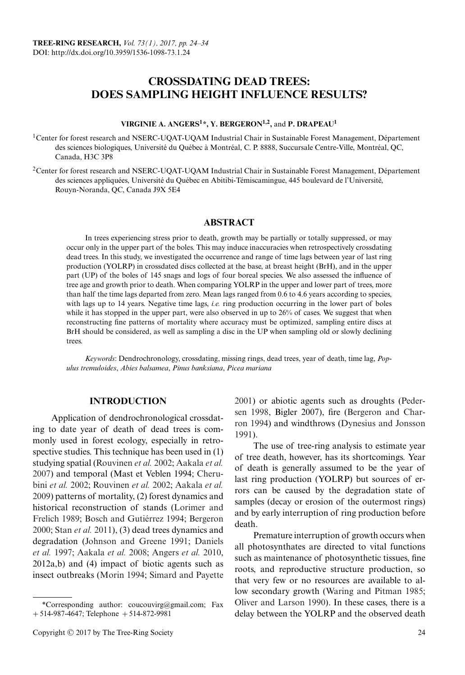# **CROSSDATING DEAD TREES: DOES SAMPLING HEIGHT INFLUENCE RESULTS?**

## **VIRGINIE A. ANGERS1\*, Y. BERGERON1,2,** and **P. DRAPEAU<sup>1</sup>**

<sup>1</sup>Center for forest research and NSERC-UQAT-UQAM Industrial Chair in Sustainable Forest Management, Département des sciences biologiques, Université du Québec à Montréal, C. P. 8888, Succursale Centre-Ville, Montréal, QC, Canada, H3C 3P8

2Center for forest research and NSERC-UQAT-UQAM Industrial Chair in Sustainable Forest Management, Département des sciences appliquées, Université du Québec en Abitibi-Témiscamingue, 445 boulevard de l'Université, Rouyn-Noranda, QC, Canada J9X 5E4

## **ABSTRACT**

In trees experiencing stress prior to death, growth may be partially or totally suppressed, or may occur only in the upper part of the boles. This may induce inaccuracies when retrospectively crossdating dead trees. In this study, we investigated the occurrence and range of time lags between year of last ring production (YOLRP) in crossdated discs collected at the base, at breast height (BrH), and in the upper part (UP) of the boles of 145 snags and logs of four boreal species. We also assessed the influence of tree age and growth prior to death. When comparing YOLRP in the upper and lower part of trees, more than half the time lags departed from zero. Mean lags ranged from 0.6 to 4.6 years according to species, with lags up to 14 years. Negative time lags, *i.e.* ring production occurring in the lower part of boles while it has stopped in the upper part, were also observed in up to 26% of cases. We suggest that when reconstructing fine patterns of mortality where accuracy must be optimized, sampling entire discs at BrH should be considered, as well as sampling a disc in the UP when sampling old or slowly declining trees.

*Keywords*: Dendrochronology, crossdating, missing rings, dead trees, year of death, time lag, *Populus tremuloides*, *Abies balsamea*, *Pinus banksiana*, *Picea mariana*

## **INTRODUCTION**

Application of dendrochronological crossdating to date year of death of dead trees is commonly used in forest ecology, especially in retrospective studies. This technique has been used in (1) studying spatial [\(Rouvinen](#page-9-0) *et al.* 2002; [Aakala](#page-8-0) *et al.* [2007\)](#page-8-0) and temporal (Mast et Veblen 1994; [Cheru](#page-9-0)bini *et al.* [2002;](#page-9-0) [Rouvinen](#page-9-0) *et al.* 2002; [Aakala](#page-8-0) *et al.* [2009\)](#page-8-0) patterns of mortality, (2) forest dynamics and historical reconstruction of stands [\(Lorimer and](#page-9-0) [Frelich 1989;](#page-9-0) [Bosch and Gutiérrez 1994;](#page-9-0) [Bergeron](#page-8-0) [2000;](#page-8-0) Stan *[et al.](#page-9-0)* 2011), (3) dead trees dynamics and degradation [\(Johnson and Greene 1991;](#page-9-0) [Daniels](#page-9-0) *[et al.](#page-9-0)* 1997; [Aakala](#page-8-0) *et al.* 2008; [Angers](#page-8-0) *et al.* 2010, 2012a,b) and (4) impact of biotic agents such as insect outbreaks [\(Morin 1994;](#page-9-0) Simard and Payette 2001) or abiotic agents such as droughts [\(Peder](#page-9-0)[sen 1998,](#page-9-0) Bigler 2007), fire [\(Bergeron and Char](#page-8-0)[ron 1994\)](#page-8-0) and windthrows [\(Dynesius and Jonsson](#page-9-0) [1991\)](#page-9-0).

The use of tree-ring analysis to estimate year of tree death, however, has its shortcomings. Year of death is generally assumed to be the year of last ring production (YOLRP) but sources of errors can be caused by the degradation state of samples (decay or erosion of the outermost rings) and by early interruption of ring production before death.

Premature interruption of growth occurs when all photosynthates are directed to vital functions such as maintenance of photosynthetic tissues, fine roots, and reproductive structure production, so that very few or no resources are available to allow secondary growth [\(Waring and Pitman 1985;](#page-10-0) [Oliver and Larson 1990\)](#page-9-0). In these cases, there is a delay between the YOLRP and the observed death

<sup>\*</sup>Corresponding author: coucouvirg@gmail.com; Fax  $+ 514-987-4647$ ; Telephone  $+ 514-872-9981$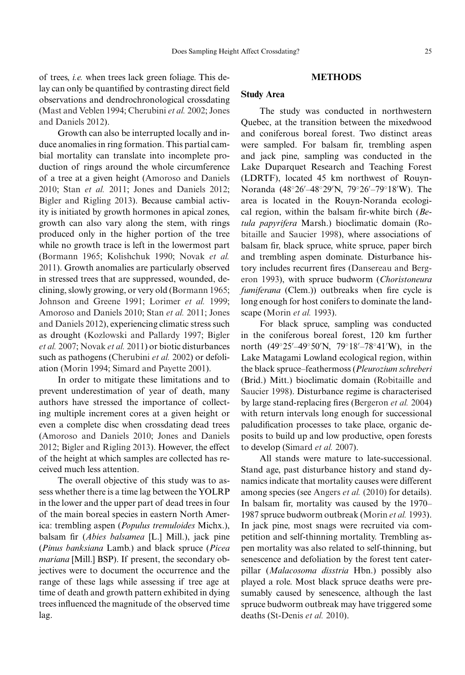## of trees, *i.e.* when trees lack green foliage. This delay can only be quantified by contrasting direct field observations and dendrochronological crossdating [\(Mast and Veblen 1994;](#page-9-0) [Cherubini](#page-9-0) *et al.* 2002; [Jones](#page-9-0) [and Daniels 2012\)](#page-9-0).

Growth can also be interrupted locally and induce anomalies in ring formation. This partial cambial mortality can translate into incomplete production of rings around the whole circumference of a tree at a given height [\(Amoroso and Daniels](#page-8-0) [2010;](#page-8-0) Stan *[et al.](#page-9-0)* 2011; [Jones and Daniels 2012;](#page-9-0) [Bigler and Rigling 2013\)](#page-8-0). Because cambial activity is initiated by growth hormones in apical zones, growth can also vary along the stem, with rings produced only in the higher portion of the tree while no growth trace is left in the lowermost part [\(Bormann 1965;](#page-8-0) [Kolishchuk 1990;](#page-9-0) [Novak](#page-9-0) *et al.* [2011\)](#page-9-0). Growth anomalies are particularly observed in stressed trees that are suppressed, wounded, declining, slowly growing, or very old [\(Bormann 1965;](#page-8-0) [Johnson and Greene 1991;](#page-9-0) [Lorimer](#page-9-0) *et al.* 1999; [Amoroso and Daniels 2010;](#page-8-0) Stan *et al.* [2011;](#page-9-0) [Jones](#page-9-0) [and Daniels 2012\)](#page-9-0), experiencing climatic stress such as drought [\(Kozlowski and Pallardy 1997;](#page-9-0) [Bigler](#page-8-0) *et al.* [2007;](#page-8-0) [Novak](#page-9-0) *et al.* 2011) or biotic disturbances such as pathogens [\(Cherubini](#page-9-0) *et al.* 2002) or defoliation [\(Morin 1994;](#page-9-0) [Simard and Payette 2001\)](#page-9-0).

In order to mitigate these limitations and to prevent underestimation of year of death, many authors have stressed the importance of collecting multiple increment cores at a given height or even a complete disc when crossdating dead trees [\(Amoroso and Daniels 2010;](#page-8-0) [Jones and Daniels](#page-9-0) [2012;](#page-9-0) [Bigler and Rigling 2013\)](#page-8-0). However, the effect of the height at which samples are collected has received much less attention.

The overall objective of this study was to assess whether there is a time lag between the YOLRP in the lower and the upper part of dead trees in four of the main boreal species in eastern North America: trembling aspen (*Populus tremuloides* Michx.), balsam fir (*Abies balsamea* [L.] Mill.), jack pine (*Pinus banksiana* Lamb.) and black spruce (*Picea mariana* [Mill.] BSP). If present, the secondary objectives were to document the occurrence and the range of these lags while assessing if tree age at time of death and growth pattern exhibited in dying trees influenced the magnitude of the observed time lag.

## **METHODS**

## **Study Area**

The study was conducted in northwestern Quebec, at the transition between the mixedwood and coniferous boreal forest. Two distinct areas were sampled. For balsam fir, trembling aspen and jack pine, sampling was conducted in the Lake Duparquet Research and Teaching Forest (LDRTF), located 45 km northwest of Rouyn-Noranda (48°26′–48°29′N, 79°26′–79°18′W). The area is located in the Rouyn-Noranda ecological region, within the balsam fir-white birch (*Betula papyrifera* Marsh.) bioclimatic domain [\(Ro](#page-9-0)[bitaille and Saucier 1998\)](#page-9-0), where associations of balsam fir, black spruce, white spruce, paper birch and trembling aspen dominate. Disturbance history includes recurrent fires [\(Dansereau and Berg](#page-9-0)[eron 1993\)](#page-9-0), with spruce budworm (*Choristoneura fumiferana* (Clem.)) outbreaks when fire cycle is long enough for host conifers to dominate the landscape [\(Morin](#page-9-0) *et al.* 1993).

For black spruce, sampling was conducted in the coniferous boreal forest, 120 km further north (49◦25 –49◦50 N, 79◦18 –78◦41 W), in the Lake Matagami Lowland ecological region, within the black spruce–feathermoss (*Pleurozium schreberi* (Brid.) Mitt.) bioclimatic domain [\(Robitaille and](#page-9-0) [Saucier 1998\)](#page-9-0). Disturbance regime is characterised by large stand-replacing fires [\(Bergeron](#page-8-0) *et al.* 2004) with return intervals long enough for successional paludification processes to take place, organic deposits to build up and low productive, open forests to develop [\(Simard](#page-9-0) *et al.* 2007).

All stands were mature to late-successional. Stand age, past disturbance history and stand dynamics indicate that mortality causes were different among species (see [Angers](#page-8-0) *et al.* (2010) for details). In balsam fir, mortality was caused by the 1970– 1987 spruce budworm outbreak [\(Morin](#page-9-0) *et al.* 1993). In jack pine, most snags were recruited via competition and self-thinning mortality. Trembling aspen mortality was also related to self-thinning, but senescence and defoliation by the forest tent caterpillar (*Malacosoma disstria* Hbn.) possibly also played a role. Most black spruce deaths were presumably caused by senescence, although the last spruce budworm outbreak may have triggered some deaths [\(St-Denis](#page-9-0) *et al.* 2010).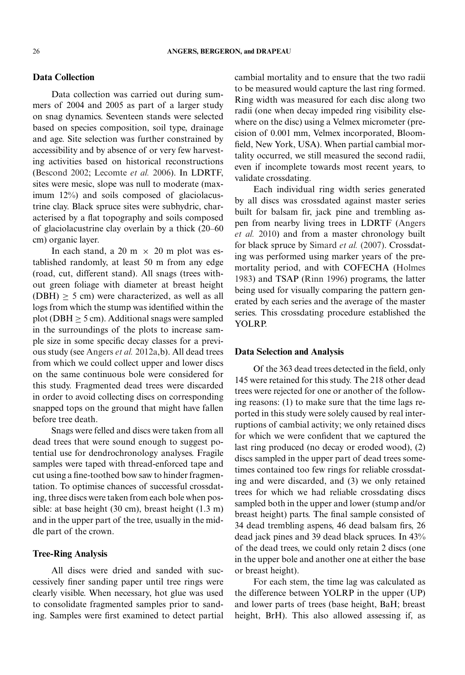## **Data Collection**

Data collection was carried out during summers of 2004 and 2005 as part of a larger study on snag dynamics. Seventeen stands were selected based on species composition, soil type, drainage and age. Site selection was further constrained by accessibility and by absence of or very few harvesting activities based on historical reconstructions [\(Bescond 2002;](#page-8-0) [Lecomte](#page-9-0) *et al.* 2006). In LDRTF, sites were mesic, slope was null to moderate (maximum 12%) and soils composed of glaciolacustrine clay. Black spruce sites were subhydric, characterised by a flat topography and soils composed of glaciolacustrine clay overlain by a thick (20–60 cm) organic layer.

In each stand, a 20 m  $\times$  20 m plot was established randomly, at least 50 m from any edge (road, cut, different stand). All snags (trees without green foliage with diameter at breast height  $(DBH) \geq 5$  cm) were characterized, as well as all logs from which the stump was identified within the plot (DBH  $\geq$  5 cm). Additional snags were sampled in the surroundings of the plots to increase sample size in some specific decay classes for a previous study (see [Angers](#page-8-0) *et al.* 2012a,b). All dead trees from which we could collect upper and lower discs on the same continuous bole were considered for this study. Fragmented dead trees were discarded in order to avoid collecting discs on corresponding snapped tops on the ground that might have fallen before tree death.

Snags were felled and discs were taken from all dead trees that were sound enough to suggest potential use for dendrochronology analyses. Fragile samples were taped with thread-enforced tape and cut using a fine-toothed bow saw to hinder fragmentation. To optimise chances of successful crossdating, three discs were taken from each bole when possible: at base height (30 cm), breast height (1.3 m) and in the upper part of the tree, usually in the middle part of the crown.

#### **Tree-Ring Analysis**

All discs were dried and sanded with successively finer sanding paper until tree rings were clearly visible. When necessary, hot glue was used to consolidate fragmented samples prior to sanding. Samples were first examined to detect partial

cambial mortality and to ensure that the two radii to be measured would capture the last ring formed. Ring width was measured for each disc along two radii (one when decay impeded ring visibility elsewhere on the disc) using a Velmex micrometer (precision of 0.001 mm, Velmex incorporated, Bloomfield, New York, USA). When partial cambial mortality occurred, we still measured the second radii, even if incomplete towards most recent years, to validate crossdating.

Each individual ring width series generated by all discs was crossdated against master series built for balsam fir, jack pine and trembling aspen from nearby living trees in LDRTF [\(Angers](#page-8-0) *[et al.](#page-8-0)* 2010) and from a master chronology built for black spruce by [Simard](#page-9-0) *et al.* (2007). Crossdating was performed using marker years of the premortality period, and with COFECHA [\(Holmes](#page-9-0) [1983\)](#page-9-0) and TSAP [\(Rinn 1996\)](#page-9-0) programs, the latter being used for visually comparing the pattern generated by each series and the average of the master series. This crossdating procedure established the YOLRP.

#### **Data Selection and Analysis**

Of the 363 dead trees detected in the field, only 145 were retained for this study. The 218 other dead trees were rejected for one or another of the following reasons: (1) to make sure that the time lags reported in this study were solely caused by real interruptions of cambial activity; we only retained discs for which we were confident that we captured the last ring produced (no decay or eroded wood), (2) discs sampled in the upper part of dead trees sometimes contained too few rings for reliable crossdating and were discarded, and (3) we only retained trees for which we had reliable crossdating discs sampled both in the upper and lower (stump and/or breast height) parts. The final sample consisted of 34 dead trembling aspens, 46 dead balsam firs, 26 dead jack pines and 39 dead black spruces. In 43% of the dead trees, we could only retain 2 discs (one in the upper bole and another one at either the base or breast height).

For each stem, the time lag was calculated as the difference between YOLRP in the upper (UP) and lower parts of trees (base height, BaH; breast height, BrH). This also allowed assessing if, as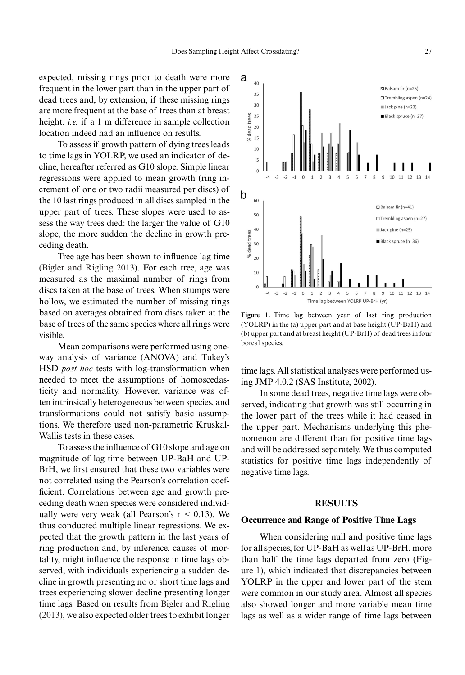<span id="page-3-0"></span>expected, missing rings prior to death were more frequent in the lower part than in the upper part of dead trees and, by extension, if these missing rings are more frequent at the base of trees than at breast height, *i.e.* if a 1 m difference in sample collection location indeed had an influence on results.

To assess if growth pattern of dying trees leads to time lags in YOLRP, we used an indicator of decline, hereafter referred as G10 slope. Simple linear regressions were applied to mean growth (ring increment of one or two radii measured per discs) of the 10 last rings produced in all discs sampled in the upper part of trees. These slopes were used to assess the way trees died: the larger the value of G10 slope, the more sudden the decline in growth preceding death.

Tree age has been shown to influence lag time [\(Bigler and Rigling 2013\)](#page-8-0). For each tree, age was measured as the maximal number of rings from discs taken at the base of trees. When stumps were hollow, we estimated the number of missing rings based on averages obtained from discs taken at the base of trees of the same species where all rings were visible.

Mean comparisons were performed using oneway analysis of variance (ANOVA) and Tukey's HSD *post hoc* tests with log-transformation when needed to meet the assumptions of homoscedasticity and normality. However, variance was often intrinsically heterogeneous between species, and transformations could not satisfy basic assumptions. We therefore used non-parametric Kruskal-Wallis tests in these cases.

To assess the influence of G10 slope and age on magnitude of lag time between UP-BaH and UP-BrH, we first ensured that these two variables were not correlated using the Pearson's correlation coefficient. Correlations between age and growth preceding death when species were considered individually were very weak (all Pearson's  $r < 0.13$ ). We thus conducted multiple linear regressions. We expected that the growth pattern in the last years of ring production and, by inference, causes of mortality, might influence the response in time lags observed, with individuals experiencing a sudden decline in growth presenting no or short time lags and trees experiencing slower decline presenting longer time lags. Based on results from [Bigler and Rigling](#page-8-0) [\(2013\),](#page-8-0) we also expected older trees to exhibit longer



**Figure 1.** Time lag between year of last ring production (YOLRP) in the (a) upper part and at base height (UP-BaH) and (b) upper part and at breast height (UP-BrH) of dead trees in four boreal species.

time lags. All statistical analyses were performed using JMP 4.0.2 (SAS Institute, 2002).

In some dead trees, negative time lags were observed, indicating that growth was still occurring in the lower part of the trees while it had ceased in the upper part. Mechanisms underlying this phenomenon are different than for positive time lags and will be addressed separately. We thus computed statistics for positive time lags independently of negative time lags.

#### **RESULTS**

## **Occurrence and Range of Positive Time Lags**

When considering null and positive time lags for all species, for UP-BaH as well as UP-BrH, more than half the time lags departed from zero (Figure 1), which indicated that discrepancies between YOLRP in the upper and lower part of the stem were common in our study area. Almost all species also showed longer and more variable mean time lags as well as a wider range of time lags between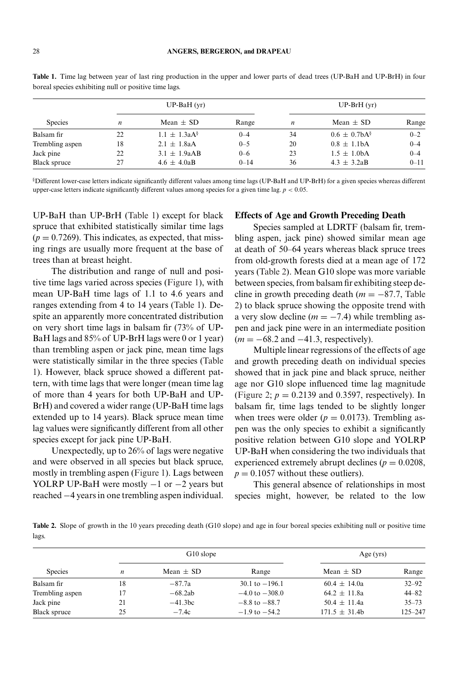| <b>Species</b>  | $UP-BaH (vr)$ |                 |          | $UP-BrH (vr)$ |                 |          |
|-----------------|---------------|-----------------|----------|---------------|-----------------|----------|
|                 | n             | Mean $\pm$ SD   | Range    | n             | Mean $\pm$ SD   | Range    |
| Balsam fir      | 22            | $1.1 + 1.3aA^s$ | $0 - 4$  | 34            | $0.6 + 0.7bA^8$ | $0 - 2$  |
| Trembling aspen | 18            | $2.1 + 1.8aA$   | $0 - 5$  | 20            | $0.8 + 1.1bA$   | $0 - 4$  |
| Jack pine       | 22            | $3.1 + 1.9aAB$  | $0 - 6$  | 23            | $1.5 + 1.0bA$   | $0 - 4$  |
| Black spruce    | 27            | $4.6 + 4.0aB$   | $0 - 14$ | 36            | $4.3 \pm 3.2aB$ | $0 - 11$ |

<span id="page-4-0"></span>**Table 1.** Time lag between year of last ring production in the upper and lower parts of dead trees (UP-BaH and UP-BrH) in four boreal species exhibiting null or positive time lags.

§ Different lower-case letters indicate significantly different values among time lags (UP-BaH and UP-BrH) for a given species whereas different upper-case letters indicate significantly different values among species for a given time lag. *p* < 0.05.

UP-BaH than UP-BrH (Table 1) except for black spruce that exhibited statistically similar time lags  $(p = 0.7269)$ . This indicates, as expected, that missing rings are usually more frequent at the base of trees than at breast height.

The distribution and range of null and positive time lags varied across species [\(Figure 1\)](#page-3-0), with mean UP-BaH time lags of 1.1 to 4.6 years and ranges extending from 4 to 14 years (Table 1). Despite an apparently more concentrated distribution on very short time lags in balsam fir (73% of UP-BaH lags and 85% of UP-BrH lags were 0 or 1 year) than trembling aspen or jack pine, mean time lags were statistically similar in the three species (Table 1). However, black spruce showed a different pattern, with time lags that were longer (mean time lag of more than 4 years for both UP-BaH and UP-BrH) and covered a wider range (UP-BaH time lags extended up to 14 years). Black spruce mean time lag values were significantly different from all other species except for jack pine UP-BaH.

Unexpectedly, up to 26% of lags were negative and were observed in all species but black spruce, mostly in trembling aspen [\(Figure 1\)](#page-3-0). Lags between YOLRP UP-BaH were mostly  $-1$  or  $-2$  years but reached −4 years in one trembling aspen individual.

## **Effects of Age and Growth Preceding Death**

Species sampled at LDRTF (balsam fir, trembling aspen, jack pine) showed similar mean age at death of 50–64 years whereas black spruce trees from old-growth forests died at a mean age of 172 years (Table 2). Mean G10 slope was more variable between species, from balsam fir exhibiting steep decline in growth preceding death  $(m = -87.7,$  Table 2) to black spruce showing the opposite trend with a very slow decline  $(m = -7.4)$  while trembling aspen and jack pine were in an intermediate position (*m* = −68.2 and −41.3, respectively).

Multiple linear regressions of the effects of age and growth preceding death on individual species showed that in jack pine and black spruce, neither age nor G10 slope influenced time lag magnitude [\(Figure 2;](#page-5-0)  $p = 0.2139$  and 0.3597, respectively). In balsam fir, time lags tended to be slightly longer when trees were older  $(p = 0.0173)$ . Trembling aspen was the only species to exhibit a significantly positive relation between G10 slope and YOLRP UP-BaH when considering the two individuals that experienced extremely abrupt declines ( $p = 0.0208$ ,  $p = 0.1057$  without these outliers).

This general absence of relationships in most species might, however, be related to the low

**Table 2.** Slope of growth in the 10 years preceding death (G10 slope) and age in four boreal species exhibiting null or positive time lags.

| <b>Species</b>  | G <sub>10</sub> slope |               |                    | Age $(yrs)$       |           |
|-----------------|-----------------------|---------------|--------------------|-------------------|-----------|
|                 | n                     | Mean $\pm$ SD | Range              | Mean $\pm$ SD     | Range     |
| Balsam fir      | 18                    | $-87.7a$      | 30.1 to $-196.1$   | $60.4 + 14.0a$    | $32 - 92$ |
| Trembling aspen | 17                    | $-68.2ab$     | $-4.0$ to $-308.0$ | $64.2 + 11.8a$    | $44 - 82$ |
| Jack pine       | 21                    | $-41.3bc$     | $-8.8$ to $-88.7$  | $50.4 + 11.4a$    | $35 - 73$ |
| Black spruce    | 25                    | $-7.4c$       | $-1.9$ to $-54.2$  | $171.5 \pm 31.4b$ | 125-247   |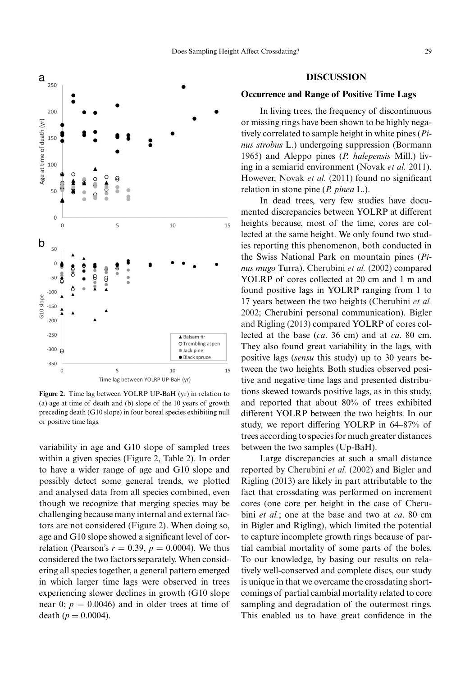<span id="page-5-0"></span>

**Figure 2.** Time lag between YOLRP UP-BaH (yr) in relation to (a) age at time of death and (b) slope of the 10 years of growth preceding death (G10 slope) in four boreal species exhibiting null or positive time lags.

variability in age and G10 slope of sampled trees within a given species (Figure 2, [Table 2\)](#page-4-0). In order to have a wider range of age and G10 slope and possibly detect some general trends, we plotted and analysed data from all species combined, even though we recognize that merging species may be challenging because many internal and external factors are not considered (Figure 2). When doing so, age and G10 slope showed a significant level of correlation (Pearson's  $r = 0.39$ ,  $p = 0.0004$ ). We thus considered the two factors separately. When considering all species together, a general pattern emerged in which larger time lags were observed in trees experiencing slower declines in growth (G10 slope near 0;  $p = 0.0046$ ) and in older trees at time of death ( $p = 0.0004$ ).

#### **DISCUSSION**

### **Occurrence and Range of Positive Time Lags**

In living trees, the frequency of discontinuous or missing rings have been shown to be highly negatively correlated to sample height in white pines (*Pinus strobus* L.) undergoing suppression [\(Bormann](#page-8-0) [1965\)](#page-8-0) and Aleppo pines (*P. halepensis* Mill.) living in a semiarid environment [\(Novak](#page-9-0) *et al.* 2011). However, [Novak](#page-9-0) et al. (2011) found no significant relation in stone pine (*P. pinea* L.).

In dead trees, very few studies have documented discrepancies between YOLRP at different heights because, most of the time, cores are collected at the same height. We only found two studies reporting this phenomenon, both conducted in the Swiss National Park on mountain pines (*Pinus mugo* Turra). [Cherubini](#page-9-0) *et al.* (2002) compared YOLRP of cores collected at 20 cm and 1 m and found positive lags in YOLRP ranging from 1 to 17 years between the two heights [\(Cherubini](#page-9-0) *et al.* [2002;](#page-9-0) Cherubini personal communication). [Bigler](#page-8-0) [and Rigling \(2013\)](#page-8-0) compared YOLRP of cores collected at the base (*ca*. 36 cm) and at *ca*. 80 cm. They also found great variability in the lags, with positive lags (*sensu* this study) up to 30 years between the two heights. Both studies observed positive and negative time lags and presented distributions skewed towards positive lags, as in this study, and reported that about 80% of trees exhibited different YOLRP between the two heights. In our study, we report differing YOLRP in 64–87% of trees according to species for much greater distances between the two samples (Up-BaH).

Large discrepancies at such a small distance reported by [Cherubini](#page-9-0) *et al.* (2002) and [Bigler and](#page-8-0) [Rigling \(2013\)](#page-8-0) are likely in part attributable to the fact that crossdating was performed on increment cores (one core per height in the case of Cherubini *et al.*; one at the base and two at *ca*. 80 cm in Bigler and Rigling), which limited the potential to capture incomplete growth rings because of partial cambial mortality of some parts of the boles. To our knowledge, by basing our results on relatively well-conserved and complete discs, our study is unique in that we overcame the crossdating shortcomings of partial cambial mortality related to core sampling and degradation of the outermost rings. This enabled us to have great confidence in the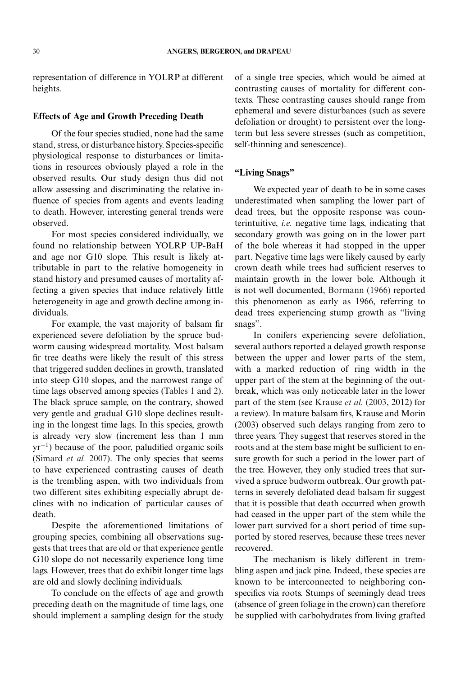representation of difference in YOLRP at different heights.

### **Effects of Age and Growth Preceding Death**

Of the four species studied, none had the same stand, stress, or disturbance history. Species-specific physiological response to disturbances or limitations in resources obviously played a role in the observed results. Our study design thus did not allow assessing and discriminating the relative influence of species from agents and events leading to death. However, interesting general trends were observed.

For most species considered individually, we found no relationship between YOLRP UP-BaH and age nor G10 slope. This result is likely attributable in part to the relative homogeneity in stand history and presumed causes of mortality affecting a given species that induce relatively little heterogeneity in age and growth decline among individuals.

For example, the vast majority of balsam fir experienced severe defoliation by the spruce budworm causing widespread mortality. Most balsam fir tree deaths were likely the result of this stress that triggered sudden declines in growth, translated into steep G10 slopes, and the narrowest range of time lags observed among species [\(Tables 1](#page-4-0) and [2\)](#page-4-0). The black spruce sample, on the contrary, showed very gentle and gradual G10 slope declines resulting in the longest time lags. In this species, growth is already very slow (increment less than 1 mm  $yr^{-1}$ ) because of the poor, paludified organic soils [\(Simard](#page-9-0) *et al.* 2007). The only species that seems to have experienced contrasting causes of death is the trembling aspen, with two individuals from two different sites exhibiting especially abrupt declines with no indication of particular causes of death.

Despite the aforementioned limitations of grouping species, combining all observations suggests that trees that are old or that experience gentle G10 slope do not necessarily experience long time lags. However, trees that do exhibit longer time lags are old and slowly declining individuals.

To conclude on the effects of age and growth preceding death on the magnitude of time lags, one should implement a sampling design for the study of a single tree species, which would be aimed at contrasting causes of mortality for different contexts. These contrasting causes should range from ephemeral and severe disturbances (such as severe defoliation or drought) to persistent over the longterm but less severe stresses (such as competition, self-thinning and senescence).

## **"Living Snags"**

We expected year of death to be in some cases underestimated when sampling the lower part of dead trees, but the opposite response was counterintuitive, *i.e.* negative time lags, indicating that secondary growth was going on in the lower part of the bole whereas it had stopped in the upper part. Negative time lags were likely caused by early crown death while trees had sufficient reserves to maintain growth in the lower bole. Although it is not well documented, [Bormann \(1966\)](#page-9-0) reported this phenomenon as early as 1966, referring to dead trees experiencing stump growth as "living snags".

In conifers experiencing severe defoliation, several authors reported a delayed growth response between the upper and lower parts of the stem, with a marked reduction of ring width in the upper part of the stem at the beginning of the outbreak, which was only noticeable later in the lower part of the stem (see [Krause](#page-9-0) *et al.* (2003, 2012) for a review). In mature balsam firs, Krause and Morin (2003) observed such delays ranging from zero to three years. They suggest that reserves stored in the roots and at the stem base might be sufficient to ensure growth for such a period in the lower part of the tree. However, they only studied trees that survived a spruce budworm outbreak. Our growth patterns in severely defoliated dead balsam fir suggest that it is possible that death occurred when growth had ceased in the upper part of the stem while the lower part survived for a short period of time supported by stored reserves, because these trees never recovered.

The mechanism is likely different in trembling aspen and jack pine. Indeed, these species are known to be interconnected to neighboring conspecifics via roots. Stumps of seemingly dead trees (absence of green foliage in the crown) can therefore be supplied with carbohydrates from living grafted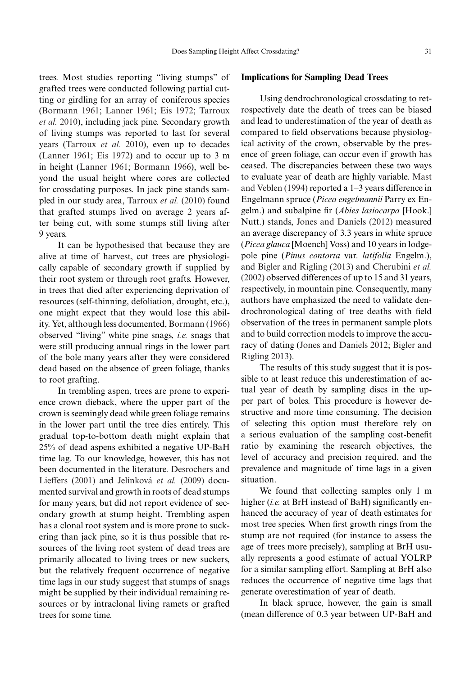trees. Most studies reporting "living stumps" of grafted trees were conducted following partial cutting or girdling for an array of coniferous species [\(Bormann 1961;](#page-8-0) [Lanner 1961;](#page-9-0) [Eis 1972;](#page-9-0) [Tarroux](#page-9-0) *et al.* [2010\)](#page-9-0), including jack pine. Secondary growth of living stumps was reported to last for several years [\(Tarroux](#page-9-0) *et al.* 2010), even up to decades [\(Lanner 1961;](#page-9-0) [Eis 1972\)](#page-9-0) and to occur up to 3 m in height [\(Lanner 1961;](#page-9-0) [Bormann 1966\)](#page-9-0), well beyond the usual height where cores are collected for crossdating purposes. In jack pine stands sampled in our study area, [Tarroux](#page-9-0) *et al.* (2010) found that grafted stumps lived on average 2 years after being cut, with some stumps still living after 9 years.

It can be hypothesised that because they are alive at time of harvest, cut trees are physiologically capable of secondary growth if supplied by their root system or through root grafts. However, in trees that died after experiencing deprivation of resources (self-thinning, defoliation, drought, etc.), one might expect that they would lose this ability. Yet, although less documented, [Bormann \(1966\)](#page-9-0) observed "living" white pine snags, *i.e.* snags that were still producing annual rings in the lower part of the bole many years after they were considered dead based on the absence of green foliage, thanks to root grafting.

In trembling aspen, trees are prone to experience crown dieback, where the upper part of the crown is seemingly dead while green foliage remains in the lower part until the tree dies entirely. This gradual top-to-bottom death might explain that 25% of dead aspens exhibited a negative UP-BaH time lag. To our knowledge, however, this has not been documented in the literature. [Desrochers and](#page-9-0) [Lieffers \(2001\)](#page-9-0) and [Jelínková](#page-9-0) *et al.* (2009) documented survival and growth in roots of dead stumps for many years, but did not report evidence of secondary growth at stump height. Trembling aspen has a clonal root system and is more prone to suckering than jack pine, so it is thus possible that resources of the living root system of dead trees are primarily allocated to living trees or new suckers, but the relatively frequent occurrence of negative time lags in our study suggest that stumps of snags might be supplied by their individual remaining resources or by intraclonal living ramets or grafted trees for some time.

#### **Implications for Sampling Dead Trees**

Using dendrochronological crossdating to retrospectively date the death of trees can be biased and lead to underestimation of the year of death as compared to field observations because physiological activity of the crown, observable by the presence of green foliage, can occur even if growth has ceased. The discrepancies between these two ways to evaluate year of death are highly variable. [Mast](#page-9-0) [and Veblen \(1994\)](#page-9-0) reported a 1–3 years difference in Engelmann spruce (*Picea engelmannii* Parry ex Engelm.) and subalpine fir (*Abies lasiocarpa* [Hook.] Nutt.) stands, [Jones and Daniels \(2012\)](#page-9-0) measured an average discrepancy of 3.3 years in white spruce (*Picea glauca* [Moench] Voss) and 10 years in lodgepole pine (*Pinus contorta* var. *latifolia* Engelm.), and [Bigler and Rigling \(2013\)](#page-8-0) and [Cherubini](#page-9-0) *et al.* [\(2002\)](#page-9-0) observed differences of up to 15 and 31 years, respectively, in mountain pine. Consequently, many authors have emphasized the need to validate dendrochronological dating of tree deaths with field observation of the trees in permanent sample plots and to build correction models to improve the accuracy of dating [\(Jones and Daniels 2012;](#page-9-0) [Bigler and](#page-8-0) [Rigling 2013\)](#page-8-0).

The results of this study suggest that it is possible to at least reduce this underestimation of actual year of death by sampling discs in the upper part of boles. This procedure is however destructive and more time consuming. The decision of selecting this option must therefore rely on a serious evaluation of the sampling cost-benefit ratio by examining the research objectives, the level of accuracy and precision required, and the prevalence and magnitude of time lags in a given situation.

We found that collecting samples only 1 m higher (*i.e.* at BrH instead of BaH) significantly enhanced the accuracy of year of death estimates for most tree species. When first growth rings from the stump are not required (for instance to assess the age of trees more precisely), sampling at BrH usually represents a good estimate of actual YOLRP for a similar sampling effort. Sampling at BrH also reduces the occurrence of negative time lags that generate overestimation of year of death.

In black spruce, however, the gain is small (mean difference of 0.3 year between UP-BaH and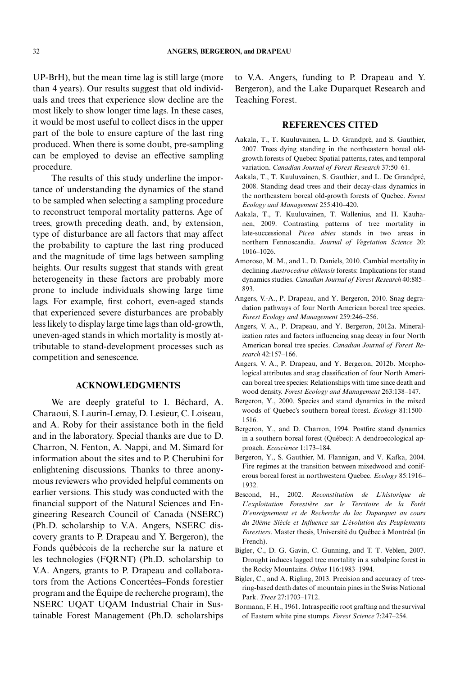<span id="page-8-0"></span>UP-BrH), but the mean time lag is still large (more than 4 years). Our results suggest that old individuals and trees that experience slow decline are the most likely to show longer time lags. In these cases, it would be most useful to collect discs in the upper part of the bole to ensure capture of the last ring produced. When there is some doubt, pre-sampling can be employed to devise an effective sampling procedure.

The results of this study underline the importance of understanding the dynamics of the stand to be sampled when selecting a sampling procedure to reconstruct temporal mortality patterns. Age of trees, growth preceding death, and, by extension, type of disturbance are all factors that may affect the probability to capture the last ring produced and the magnitude of time lags between sampling heights. Our results suggest that stands with great heterogeneity in these factors are probably more prone to include individuals showing large time lags. For example, first cohort, even-aged stands that experienced severe disturbances are probably less likely to display large time lags than old-growth, uneven-aged stands in which mortality is mostly attributable to stand-development processes such as competition and senescence.

## **ACKNOWLEDGMENTS**

We are deeply grateful to I. Béchard, A. Charaoui, S. Laurin-Lemay, D. Lesieur, C. Loiseau, and A. Roby for their assistance both in the field and in the laboratory. Special thanks are due to D. Charron, N. Fenton, A. Nappi, and M. Simard for information about the sites and to P. Cherubini for enlightening discussions. Thanks to three anonymous reviewers who provided helpful comments on earlier versions. This study was conducted with the financial support of the Natural Sciences and Engineering Research Council of Canada (NSERC) (Ph.D. scholarship to V.A. Angers, NSERC discovery grants to P. Drapeau and Y. Bergeron), the Fonds québécois de la recherche sur la nature et les technologies (FQRNT) (Ph.D. scholarship to V.A. Angers, grants to P. Drapeau and collaborators from the Actions Concertées–Fonds forestier program and the Équipe de recherche program), the NSERC–UQAT–UQAM Industrial Chair in Sustainable Forest Management (Ph.D. scholarships

to V.A. Angers, funding to P. Drapeau and Y. Bergeron), and the Lake Duparquet Research and Teaching Forest.

## **REFERENCES CITED**

- Aakala, T., T. Kuuluvainen, L. D. Grandpré, and S. Gauthier, 2007. Trees dying standing in the northeastern boreal oldgrowth forests of Quebec: Spatial patterns, rates, and temporal variation. *Canadian Journal of Forest Research* 37:50–61.
- Aakala, T., T. Kuuluvainen, S. Gauthier, and L. De Grandpré, 2008. Standing dead trees and their decay-class dynamics in the northeastern boreal old-growth forests of Quebec. *Forest Ecology and Management* 255:410–420.
- Aakala, T., T. Kuuluvainen, T. Wallenius, and H. Kauhanen, 2009. Contrasting patterns of tree mortality in late-successional *Picea abies* stands in two areas in northern Fennoscandia. *Journal of Vegetation Science* 20: 1016–1026.
- Amoroso, M. M., and L. D. Daniels, 2010. Cambial mortality in declining *Austrocedrus chilensis* forests: Implications for stand dynamics studies. *Canadian Journal of Forest Research* 40:885– 893.
- Angers, V.-A., P. Drapeau, and Y. Bergeron, 2010. Snag degradation pathways of four North American boreal tree species. *Forest Ecology and Management* 259:246–256.
- Angers, V. A., P. Drapeau, and Y. Bergeron, 2012a. Mineralization rates and factors influencing snag decay in four North American boreal tree species. *Canadian Journal of Forest Research* 42:157–166.
- Angers, V. A., P. Drapeau, and Y. Bergeron, 2012b. Morphological attributes and snag classification of four North American boreal tree species: Relationships with time since death and wood density. *Forest Ecology and Management* 263:138–147.
- Bergeron, Y., 2000. Species and stand dynamics in the mixed woods of Quebec's southern boreal forest. *Ecology* 81:1500– 1516.
- Bergeron, Y., and D. Charron, 1994. Postfire stand dynamics in a southern boreal forest (Québec): A dendroecological approach. *Ecoscience* 1:173–184.
- Bergeron, Y., S. Gauthier, M. Flannigan, and V. Kafka, 2004. Fire regimes at the transition between mixedwood and coniferous boreal forest in northwestern Quebec. *Ecology* 85:1916– 1932.
- Bescond, H., 2002. *Reconstitution de L'historique de L'exploitation Forestière sur le Territoire de la Forêt D'enseignement et de Recherche du lac Duparquet au cours du 20ème Siècle et Influence sur L'évolution des Peuplements Forestiers*. Master thesis, Université du Québec à Montréal (in French).
- Bigler, C., D. G. Gavin, C. Gunning, and T. T. Veblen, 2007. Drought induces lagged tree mortality in a subalpine forest in the Rocky Mountains. *Oikos* 116:1983–1994.
- Bigler, C., and A. Rigling, 2013. Precision and accuracy of treering-based death dates of mountain pines in the Swiss National Park. *Trees* 27:1703–1712.
- Bormann, F. H., 1961. Intraspecific root grafting and the survival of Eastern white pine stumps. *Forest Science* 7:247–254.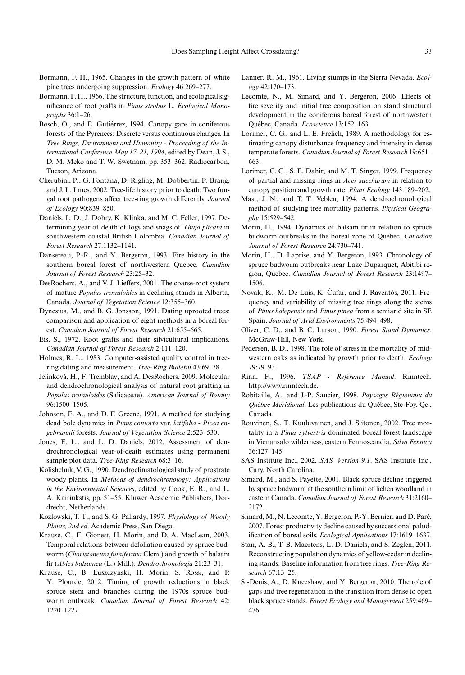- <span id="page-9-0"></span>Bormann, F. H., 1965. Changes in the growth pattern of white pine trees undergoing suppression. *Ecology* 46:269–277.
- Bormann, F. H., 1966. The structure, function, and ecological significance of root grafts in *Pinus strobus* L. *Ecological Monographs* 36:1–26.
- Bosch, O., and E. Gutiérrez, 1994. Canopy gaps in coniferous forests of the Pyrenees: Discrete versus continuous changes. In *Tree Rings, Environment and Humanity - Proceeding of the International Conference May 17–21, 1994*, edited by Dean, J. S., D. M. Meko and T. W. Swetnam, pp. 353–362. Radiocarbon, Tucson, Arizona.
- Cherubini, P., G. Fontana, D. Rigling, M. Dobbertin, P. Brang, and J. L. Innes, 2002. Tree-life history prior to death: Two fungal root pathogens affect tree-ring growth differently. *Journal of Ecology* 90:839–850.
- Daniels, L. D., J. Dobry, K. Klinka, and M. C. Feller, 1997. Determining year of death of logs and snags of *Thuja plicata* in southwestern coastal British Colombia. *Canadian Journal of Forest Research* 27:1132–1141.
- Dansereau, P.-R., and Y. Bergeron, 1993. Fire history in the southern boreal forest of northwestern Quebec. *Canadian Journal of Forest Research* 23:25–32.
- DesRochers, A., and V. J. Lieffers, 2001. The coarse-root system of mature *Populus tremuloides* in declining stands in Alberta, Canada. *Journal of Vegetation Science* 12:355–360.
- Dynesius, M., and B. G. Jonsson, 1991. Dating uprooted trees: comparison and application of eight methods in a boreal forest. *Canadian Journal of Forest Research* 21:655–665.
- Eis, S., 1972. Root grafts and their silvicultural implications. *Canadian Journal of Forest Research* 2:111–120.
- Holmes, R. L., 1983. Computer-assisted quality control in treering dating and measurement. *Tree-Ring Bulletin* 43:69–78.
- Jelínková, H., F. Tremblay, and A. DesRochers, 2009. Molecular and dendrochronological analysis of natural root grafting in *Populus tremuloides* (Salicaceae). *American Journal of Botany* 96:1500–1505.
- Johnson, E. A., and D. F. Greene, 1991. A method for studying dead bole dynamics in *Pinus contorta* var. *latifolia - Picea engelmannii* forests. *Journal of Vegetation Science* 2:523–530.
- Jones, E. L., and L. D. Daniels, 2012. Assessment of dendrochronological year-of-death estimates using permanent sample plot data. *Tree-Ring Research* 68:3–16.
- Kolishchuk, V. G., 1990. Dendroclimatological study of prostrate woody plants. In *Methods of dendrochronology: Applications in the Environmental Sciences*, edited by Cook, E. R., and L. A. Kairiukstis, pp. 51–55. Kluwer Academic Publishers, Dordrecht, Netherlands.
- Kozlowski, T. T., and S. G. Pallardy, 1997. *Physiology of Woody Plants, 2nd ed*. Academic Press, San Diego.
- Krause, C., F. Gionest, H. Morin, and D. A. MacLean, 2003. Temporal relations between defoliation caused by spruce budworm (*Choristoneura fumiferana* Clem.) and growth of balsam fir (*Abies balsamea* (L.) Mill.). *Dendrochronologia* 21:23–31.
- Krause, C., B. Luszczynski, H. Morin, S. Rossi, and P. Y. Plourde, 2012. Timing of growth reductions in black spruce stem and branches during the 1970s spruce budworm outbreak. *Canadian Journal of Forest Research* 42: 1220–1227.
- Lanner, R. M., 1961. Living stumps in the Sierra Nevada. *Ecology* 42:170–173.
- Lecomte, N., M. Simard, and Y. Bergeron, 2006. Effects of fire severity and initial tree composition on stand structural development in the coniferous boreal forest of northwestern Québec, Canada. *Ecoscience* 13:152–163.
- Lorimer, C. G., and L. E. Frelich, 1989. A methodology for estimating canopy disturbance frequency and intensity in dense temperate forests. *Canadian Journal of Forest Research* 19:651– 663.
- Lorimer, C. G., S. E. Dahir, and M. T. Singer, 1999. Frequency of partial and missing rings in *Acer saccharum* in relation to canopy position and growth rate. *Plant Ecology* 143:189–202.
- Mast, J. N., and T. T. Veblen, 1994. A dendrochronological method of studying tree mortality patterns. *Physical Geography* 15:529–542.
- Morin, H., 1994. Dynamics of balsam fir in relation to spruce budworm outbreaks in the boreal zone of Quebec. *Canadian Journal of Forest Research* 24:730–741.
- Morin, H., D. Laprise, and Y. Bergeron, 1993. Chronology of spruce budworm outbreaks near Lake Duparquet, Abitibi region, Quebec. *Canadian Journal of Forest Research* 23:1497– 1506.
- Novak, K., M. De Luis, K. Čufar, and J. Raventós, 2011. Frequency and variability of missing tree rings along the stems of *Pinus halepensis* and *Pinus pinea* from a semiarid site in SE Spain. *Journal of Arid Environments* 75:494–498.
- Oliver, C. D., and B. C. Larson, 1990. *Forest Stand Dynamics*. McGraw-Hill, New York.
- Pedersen, B. D., 1998. The role of stress in the mortality of midwestern oaks as indicated by growth prior to death. *Ecology* 79:79–93.
- Rinn, F., 1996. *TSAP Reference Manual*. Rinntech. http://www.rinntech.de.
- Robitaille, A., and J.-P. Saucier, 1998. *Paysages Régionaux du Québec Méridional*. Les publications du Québec, Ste-Foy, Qc., Canada.
- Rouvinen, S., T. Kuuluvainen, and J. Siitonen, 2002. Tree mortality in a *Pinus sylvestris* dominated boreal forest landscape in Vienansalo wilderness, eastern Fennoscandia. *Silva Fennica* 36:127–145.
- SAS Institute Inc., 2002. *SAS, Version 9.1*. SAS Institute Inc., Cary, North Carolina.
- Simard, M., and S. Payette, 2001. Black spruce decline triggered by spruce budworm at the southern limit of lichen woodland in eastern Canada. *Canadian Journal of Forest Research* 31:2160– 2172.
- Simard, M., N. Lecomte, Y. Bergeron, P.-Y. Bernier, and D. Paré, 2007. Forest productivity decline caused by successional paludification of boreal soils. *Ecological Applications* 17:1619–1637.
- Stan, A. B., T. B. Maertens, L. D. Daniels, and S. Zeglen, 2011. Reconstructing population dynamics of yellow-cedar in declining stands: Baseline information from tree rings. *Tree-Ring Research* 67:13–25.
- St-Denis, A., D. Kneeshaw, and Y. Bergeron, 2010. The role of gaps and tree regeneration in the transition from dense to open black spruce stands. *Forest Ecology and Management* 259:469– 476.